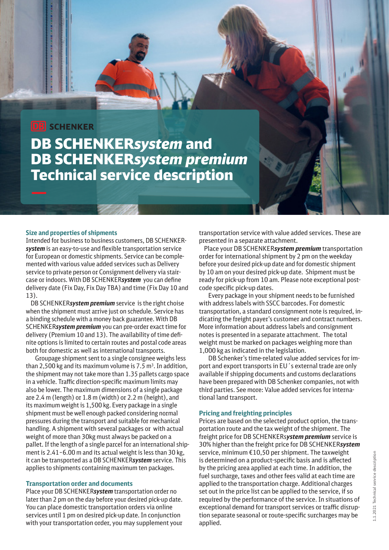# **DB** SCHENKER

DB SCHENKER*system* and DB SCHENKER*system premium* Technical service description

### **Size and properties of shipments**

Intended for business to business customers, DB SCHENKER*system* is an easy-to-use and flexible transportation service for European or domestic shipments. Service can be complemented with various value added services such as Delivery service to private person or Consignment delivery via staircase or indoors. With DB SCHENKER*system* you can define delivery date (Fix Day, Fix Day TBA) and time (Fix Day 10 and 13).

 DB SCHENKER*system premium* service is the right choise when the shipment must arrive just on schedule. Service has a binding schedule with a money back guarantee. With DB SCHENKER*system premium* you can pre-order exact time for delivery (Premium 10 and 13). The availability of time definite options is limited to certain routes and postal code areas both for domestic as well as international transports.

Groupage shipment sent to a single consignee weighs less than 2,500 kg and its maximum volume is  $7.5$  m<sup>3</sup>. In addition, the shipment may not take more than 1.35 pallets cargo space in a vehicle. Traffic direction-specific maximum limits may also be lower. The maximum dimensions of a single package are 2.4 m (length) or 1.8 m (width) or 2.2 m (height), and its maximum weight is 1,500 kg. Every package in a single shipment must be well enough packed considering normal pressures during the transport and suitable for mechanical handling. A shipment with several packages or with actual weight of more than 30kg must always be packed on a pallet. If the length of a single parcel for an international shipment is 2.41–6.00 m and its actual weight is less than 30 kg, it can be transported as a DB SCHENKER*system* service. This applies to shipments containing maximum ten packages.

### **Transportation order and documents**

Place your DB SCHENKER*system* transportation order no later than 2 pm on the day before your desired pick-up date. You can place domestic transportation orders via online services until 1 pm on desired pick-up date. In conjunction with your transportation order, you may supplement your

transportation service with value added services. These are presented in a separate attachment.

 Place your DB SCHENKER*system premium* transportation order for international shipment by 2 pm on the weekday before your desired pick-up date and for domestic shipment by 10 am on your desired pick-up date. Shipment must be ready for pick-up from 10 am. Please note exceptional postcode specific pick-up dates.

Every package in your shipment needs to be furnished with address labels with SSCC barcodes. For domestic transportation, a standard consignment note is required, indicating the freight payer's customer and contract numbers. More information about address labels and consignment notes is presented in a separate attachment. The total weight must be marked on packages weighing more than 1,000 kg as indicated in the legislation.

DB Schenker's time-related value added services for import and export transports in EU´s external trade are only available if shipping documents and customs declarations have been prepared with DB Schenker companies, not with third parties. See more: [Value added services for interna](https://www.dbschenker.com/resource/blob/593330/61df83091142aad9aab717d2f9eb82cb/value-added-services-for-internatonal-transports-data.pdf)[tional land transport.](https://www.dbschenker.com/resource/blob/593330/61df83091142aad9aab717d2f9eb82cb/value-added-services-for-internatonal-transports-data.pdf)

#### **Pricing and freighting principles**

Prices are based on the selected product option, the transportation route and the tax weight of the shipment. The freight price for DB SCHENKERs*ystem premium* service is 30% higher than the freight price for DB SCHENKER*system* service, minimum €10,50 per shipment. The taxweight is determined on a product-specific basis and is affected by the pricing area applied at each time. In addition, the fuel surcharge, taxes and other fees valid at each time are applied to the transportation charge. Additional charges set out in the price list can be applied to the service, if so required by the performance of the service. In situations of exceptional demand for transport services or traffic disruption separate seasonal or route-specific surcharges may be applied.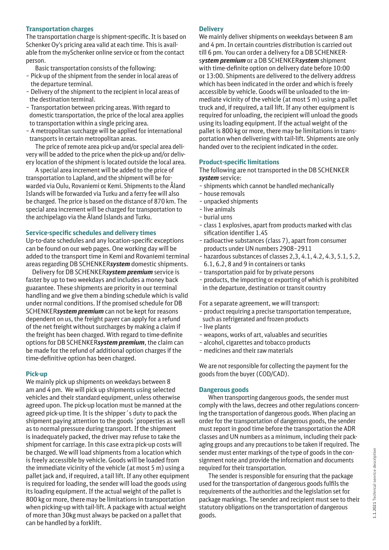### **Transportation charges**

The transportation charge is shipment-specific. It is based on Schenker Oy's pricing area valid at each time. This is available from the mySchenker online service or from the contact person.

Basic transportation consists of the following:

- Pick-up of the shipment from the sender in local areas of the departure terminal.
- Delivery of the shipment to the recipient in local areas of the destination terminal.
- Transportation between pricing areas. With regard to domestic transportation, the price of the local area applies to transportation within a single pricing area.
- A metropolitan surcharge will be applied for international transports in certain metropolitan areas.

The price of remote area pick-up and/or special area delivery will be added to the price when the pick-up and/or delivery location of the shipment is located outside the local area.

A special area increment will be added to the price of transportation to Lapland, and the shipment will be forwarded via Oulu, Rovaniemi or Kemi. Shipments to the Åland Islands will be forwarded via Turku and a ferry fee will also be charged. The price is based on the distance of 870 km. The special area increment will be charged for transportation to the archipelago via the Åland Islands and Turku.

# **Service-specific schedules and delivery times**

Up-to-date schedules and any location-specific exceptions can be found on our web pages. One working day will be added to the transport time in Kemi and Rovaniemi terminal areas regarding DB SCHENKER*system* domestic shipments.

 Delivery for DB SCHENKER*system premium* service is faster by up to two weekdays and includes a money back guarantee. These shipments are priority in our terminal handling and we give them a binding schedule which is valid under normal conditions. If the promised schedule for DB SCHENKER*system premium* can not be kept for reasons dependent on us, the freight payer can apply for a refund of the net freight without surcharges by making a claim if the freight has been charged. With regard to time-definite options for DB SCHENKER*system premium*, the claim can be made for the refund of additional option charges if the time-definitive option has been charged.

# **Pick-up**

We mainly pick up shipments on weekdays between 8 am and 4 pm. We will pick up shipments using selected vehicles and their standard equipment, unless otherwise agreed upon. The pick-up location must be manned at the agreed pick-up time. It is the shipper´s duty to pack the shipment paying attention to the goods´properties as well as to normal pressure during transport. If the shipment is inadequately packed, the driver may refuse to take the shipment for carriage. In this case extra pick-up costs will be charged. We will load shipments from a location which is freely accessible by vehicle. Goods will be loaded from the immediate vicinity of the vehicle (at most 5 m) using a pallet jack and, if required, a tail lift. If any other equipment is required for loading, the sender will load the goods using its loading equipment. If the actual weight of the pallet is 800 kg or more, there may be limitations in transportation when picking-up with tail-lift. A package with actual weight of more than 30kg must always be packed on a pallet that can be handled by a forklift.

### **Delivery**

We mainly deliver shipments on weekdays between 8 am and 4 pm. In certain countries distribution is carried out till 6 pm. You can order a delivery for a DB SCHENKERs*ystem premium* or a DB SCHENKER*system* shipment with time-definite option on delivery date before 10:00 or 13:00. Shipments are delivered to the delivery address which has been indicated in the order and which is freely accessible by vehicle. Goods will be unloaded to the immediate vicinity of the vehicle (at most 5 m) using a pallet truck and, if required, a tail lift. If any other equipment is required for unloading, the recipient will unload the goods using its loading equipment. If the actual weight of the pallet is 800 kg or more, there may be limitations in transportation when delivering with tail-lift. Shipments are only handed over to the recipient indicated in the order.

### **Product-specific limitations**

The following are not transported in the DB SCHENKER *system* service:

- shipments which cannot be handled mechanically
- house removals
- unpacked shipments
- live animals
- burial urns
- class 1 explosives, apart from products marked with clas sification identifier 1.4S
- radioactive substances (class 7), apart from consumer products under UN numbers 2908–2911
- hazardous substances of classes 2,3, 4.1, 4.2, 4.3, 5.1, 5.2, 6.1, 6.2, 8 and 9 in containers or tanks
- transportation paid for by private persons
- products, the importing or exporting of which is prohibited in the departure, destination or transit country

For a separate agreement, we will transport:

- product requiring a precise transportation temperature, such as refrigerated and frozen products
- live plants
- weapons, works of art, valuables and securities
- alcohol, cigarettes and tobacco products
- medicines and their raw materials

We are not responsible for collecting the payment for the goods from the buyer (COD/CAD).

### **Dangerous goods**

When transporting dangerous goods, the sender must comply with the laws, decrees and other regulations concerning the transportation of dangerous goods. When placing an order for the transportation of dangerous goods, the sender must report in good time before the transportation the ADR classes and UN numbers as a minimum, including their packaging groups and any precautions to be taken if required. The sender must enter markings of the type of goods in the consignment note and provide the information and documents required for their transportation.

The sender is responsible for ensuring that the package used for the transportation of dangerous goods fulfils the requirements of the authorities and the legislation set for package markings. The sender and recipient must see to their statutory obligations on the transportation of dangerous goods.